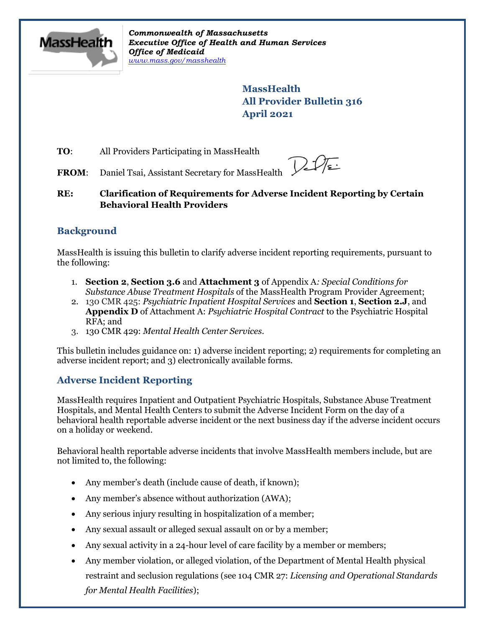

*Commonwealth of Massachusetts Executive Office of Health and Human Services Office of Medicaid [www.mass.gov/masshealth](http://www.mass.gov/masshealth)*

> **MassHealth All Provider Bulletin 316 April 2021**

**TO:** All Providers Participating in MassHealth

**FROM:** Daniel Tsai, Assistant Secretary for MassHealth

**RE: Clarification of Requirements for Adverse Incident Reporting by Certain Behavioral Health Providers**

# **Background**

MassHealth is issuing this bulletin to clarify adverse incident reporting requirements, pursuant to the following:

- 1. **Section 2**, **Section 3.6** and **Attachment 3** of Appendix A*: Special Conditions for Substance Abuse Treatment Hospitals* of the MassHealth Program Provider Agreement;
- 2. 130 CMR 425: *Psychiatric Inpatient Hospital Services* and **Section 1**, **Section 2.J**, and **Appendix D** of Attachment A: *Psychiatric Hospital Contract* to the Psychiatric Hospital RFA; and
- 3. 130 CMR 429: *Mental Health Center Services*.

This bulletin includes guidance on: 1) adverse incident reporting; 2) requirements for completing an adverse incident report; and 3) electronically available forms.

# **Adverse Incident Reporting**

MassHealth requires Inpatient and Outpatient Psychiatric Hospitals, Substance Abuse Treatment Hospitals, and Mental Health Centers to submit the [Adverse Incident Form](https://www.mass.gov/doc/ai-daily-roster-template/download) on the day of a behavioral health reportable adverse incident or the next business day if the adverse incident occurs on a holiday or weekend.

Behavioral health reportable adverse incidents that involve MassHealth members include, but are not limited to, the following:

- Any member's death (include cause of death, if known);
- Any member's absence without authorization (AWA);
- Any serious injury resulting in hospitalization of a member;
- Any sexual assault or alleged sexual assault on or by a member;
- Any sexual activity in a 24-hour level of care facility by a member or members;
- Any member violation, or alleged violation, of the Department of Mental Health physical restraint and seclusion regulations (see 104 CMR 27: *Licensing and Operational Standards for Mental Health Facilities*);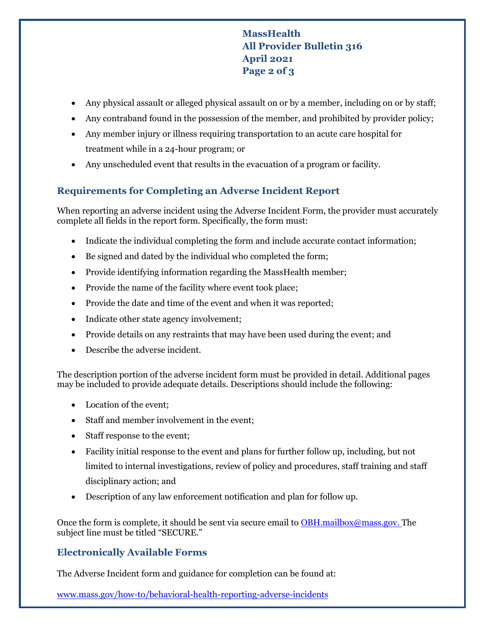# **MassHealth All Provider Bulletin 316 April 2021 Page 2 of 3**

- Any physical assault or alleged physical assault on or by a member, including on or by staff;
- Any contraband found in the possession of the member, and prohibited by provider policy;
- Any member injury or illness requiring transportation to an acute care hospital for treatment while in a 24-hour program; or
- Any unscheduled event that results in the evacuation of a program or facility.

# **Requirements for Completing an Adverse Incident Report**

When reporting an adverse incident using the Adverse Incident Form, the provider must accurately complete all fields in the report form. Specifically, the form must:

- Indicate the individual completing the form and include accurate contact information;
- Be signed and dated by the individual who completed the form;
- Provide identifying information regarding the MassHealth member;
- Provide the name of the facility where event took place;
- Provide the date and time of the event and when it was reported;
- Indicate other state agency involvement;
- Provide details on any restraints that may have been used during the event; and
- Describe the adverse incident.

The description portion of the adverse incident form must be provided in detail. Additional pages may be included to provide adequate details. Descriptions should include the following:

- Location of the event;
- Staff and member involvement in the event;
- Staff response to the event;
- Facility initial response to the event and plans for further follow up, including, but not limited to internal investigations, review of policy and procedures, staff training and staff disciplinary action; and
- Description of any law enforcement notification and plan for follow up.

Once the form is complete, it should be sent via secure email to [OBH.mailbox@mass.gov.](mailto:OBH.mailbox@mass.gov) The subject line must be titled "SECURE."

#### **Electronically Available Forms**

The Adverse Incident form and guidance for completion can be found at:

[www.mass.gov/how-to/behavioral-health-reporting-adverse-incidents](https://www.mass.gov/how-to/behavioral-health-reporting-adverse-incidents)